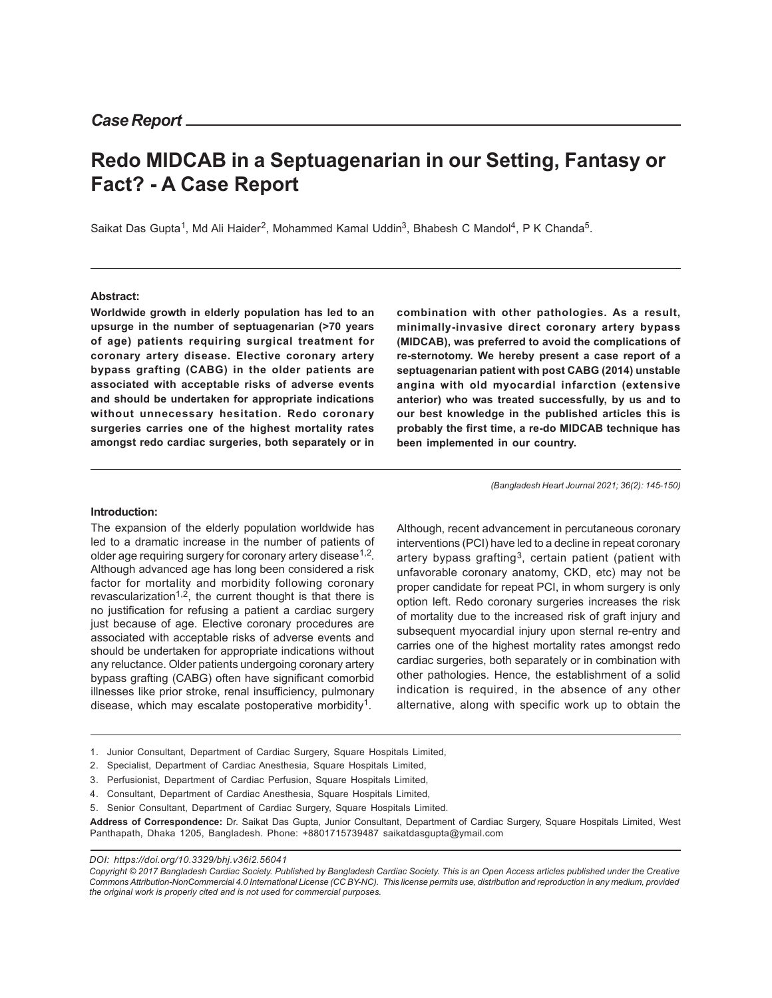# **Redo MIDCAB in a Septuagenarian in our Setting, Fantasy or Fact? - A Case Report**

Saikat Das Gupta<sup>1</sup>, Md Ali Haider<sup>2</sup>, Mohammed Kamal Uddin<sup>3</sup>, Bhabesh C Mandol<sup>4</sup>, P K Chanda<sup>5</sup>.

#### **Abstract:**

**Worldwide growth in elderly population has led to an upsurge in the number of septuagenarian (>70 years of age) patients requiring surgical treatment for coronary artery disease. Elective coronary artery bypass grafting (CABG) in the older patients are associated with acceptable risks of adverse events and should be undertaken for appropriate indications without unnecessary hesitation. Redo coronary surgeries carries one of the highest mortality rates amongst redo cardiac surgeries, both separately or in**

**combination with other pathologies. As a result, minimally-invasive direct coronary artery bypass (MIDCAB), was preferred to avoid the complications of re-sternotomy. We hereby present a case report of a septuagenarian patient with post CABG (2014) unstable angina with old myocardial infarction (extensive anterior) who was treated successfully, by us and to our best knowledge in the published articles this is probably the first time, a re-do MIDCAB technique has been implemented in our country.**

*(Bangladesh Heart Journal 2021; 36(2): 145-150)*

#### **Introduction:**

The expansion of the elderly population worldwide has led to a dramatic increase in the number of patients of older age requiring surgery for coronary artery disease $^{1,2}$ . Although advanced age has long been considered a risk factor for mortality and morbidity following coronary revascularization<sup>1,2</sup>, the current thought is that there is no justification for refusing a patient a cardiac surgery just because of age. Elective coronary procedures are associated with acceptable risks of adverse events and should be undertaken for appropriate indications without any reluctance. Older patients undergoing coronary artery bypass grafting (CABG) often have significant comorbid illnesses like prior stroke, renal insufficiency, pulmonary disease, which may escalate postoperative morbidity<sup>1</sup>.

Although, recent advancement in percutaneous coronary interventions (PCI) have led to a decline in repeat coronary artery bypass grafting<sup>3</sup>, certain patient (patient with unfavorable coronary anatomy, CKD, etc) may not be proper candidate for repeat PCI, in whom surgery is only option left. Redo coronary surgeries increases the risk of mortality due to the increased risk of graft injury and subsequent myocardial injury upon sternal re-entry and carries one of the highest mortality rates amongst redo cardiac surgeries, both separately or in combination with other pathologies. Hence, the establishment of a solid indication is required, in the absence of any other alternative, along with specific work up to obtain the

- 1. Junior Consultant, Department of Cardiac Surgery, Square Hospitals Limited,
- 2. Specialist, Department of Cardiac Anesthesia, Square Hospitals Limited,
- 3. Perfusionist, Department of Cardiac Perfusion, Square Hospitals Limited,
- 4. Consultant, Department of Cardiac Anesthesia, Square Hospitals Limited,
- 5. Senior Consultant, Department of Cardiac Surgery, Square Hospitals Limited.

**Address of Correspondence:** Dr. Saikat Das Gupta, Junior Consultant, Department of Cardiac Surgery, Square Hospitals Limited, West Panthapath, Dhaka 1205, Bangladesh. Phone: +8801715739487 saikatdasgupta@ymail.com

*DOI: https://doi.org/10.3329/bhj.v36i2.56041*

*Copyright © 2017 Bangladesh Cardiac Society. Published by Bangladesh Cardiac Society. This is an Open Access articles published under the Creative Commons Attribution-NonCommercial 4.0 International License (CC BY-NC). This license permits use, distribution and reproduction in any medium, provided the original work is properly cited and is not used for commercial purposes.*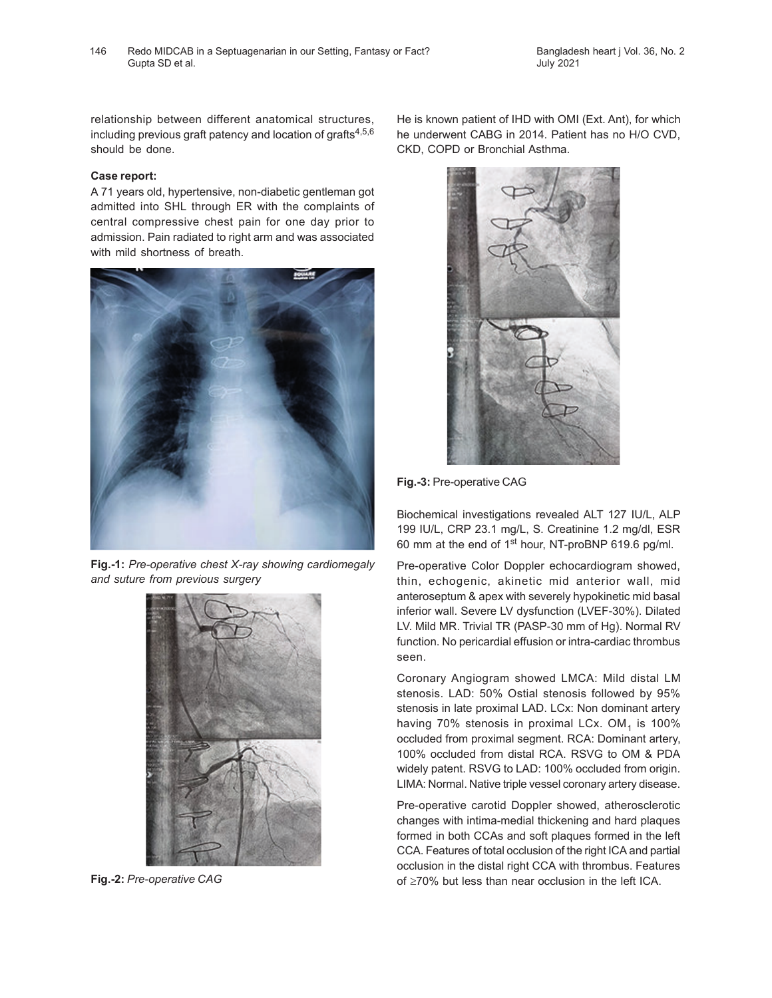relationship between different anatomical structures, including previous graft patency and location of grafts $4,5,6$ should be done.

## **Case report:**

A 71 years old, hypertensive, non-diabetic gentleman got admitted into SHL through ER with the complaints of central compressive chest pain for one day prior to admission. Pain radiated to right arm and was associated with mild shortness of breath.



**Fig.-1:** *Pre-operative chest X-ray showing cardiomegaly and suture from previous surgery*



**Fig.-2:** *Pre-operative CAG*

He is known patient of IHD with OMI (Ext. Ant), for which he underwent CABG in 2014. Patient has no H/O CVD, CKD, COPD or Bronchial Asthma.



**Fig.-3:** Pre-operative CAG

Biochemical investigations revealed ALT 127 IU/L, ALP 199 IU/L, CRP 23.1 mg/L, S. Creatinine 1.2 mg/dl, ESR 60 mm at the end of 1st hour, NT-proBNP 619.6 pg/ml.

Pre-operative Color Doppler echocardiogram showed, thin, echogenic, akinetic mid anterior wall, mid anteroseptum & apex with severely hypokinetic mid basal inferior wall. Severe LV dysfunction (LVEF-30%). Dilated LV. Mild MR. Trivial TR (PASP-30 mm of Hg). Normal RV function. No pericardial effusion or intra-cardiac thrombus seen.

Coronary Angiogram showed LMCA: Mild distal LM stenosis. LAD: 50% Ostial stenosis followed by 95% stenosis in late proximal LAD. LCx: Non dominant artery having 70% stenosis in proximal LCx. OM<sub>1</sub> is 100% occluded from proximal segment. RCA: Dominant artery, 100% occluded from distal RCA. RSVG to OM & PDA widely patent. RSVG to LAD: 100% occluded from origin. LIMA: Normal. Native triple vessel coronary artery disease.

Pre-operative carotid Doppler showed, atherosclerotic changes with intima-medial thickening and hard plaques formed in both CCAs and soft plaques formed in the left CCA. Features of total occlusion of the right ICA and partial occlusion in the distal right CCA with thrombus. Features of ≥70% but less than near occlusion in the left ICA.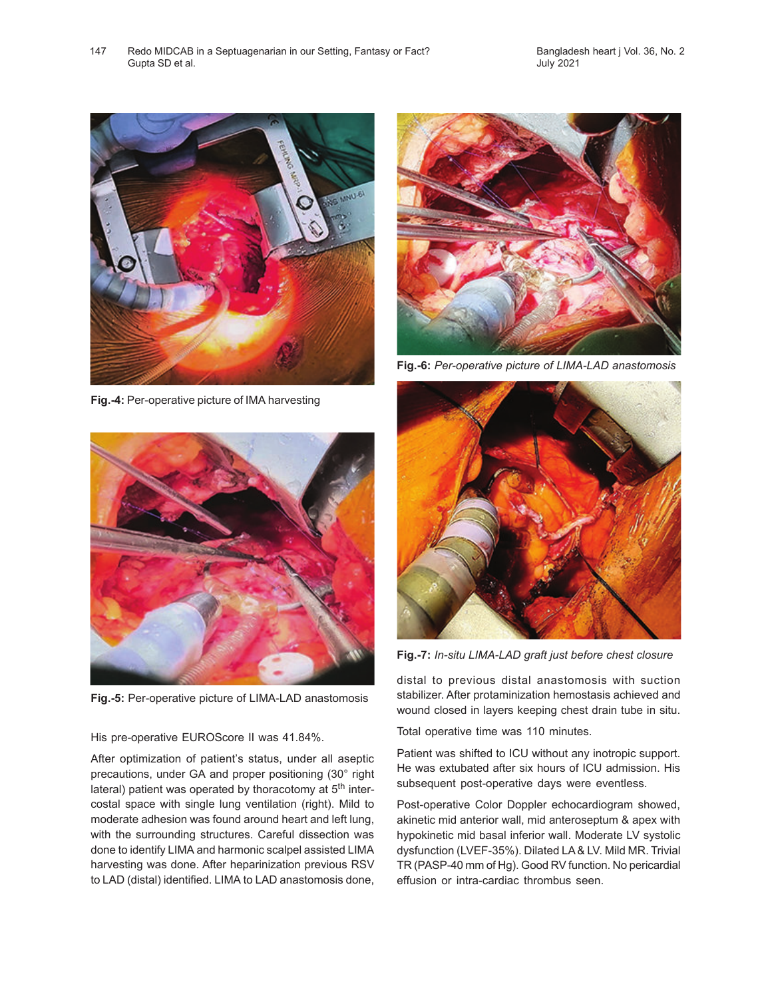

**Fig.-4:** Per-operative picture of IMA harvesting



**Fig.-5:** Per-operative picture of LIMA-LAD anastomosis

His pre-operative EUROScore II was 41.84%.

After optimization of patient's status, under all aseptic precautions, under GA and proper positioning (30° right lateral) patient was operated by thoracotomy at 5<sup>th</sup> intercostal space with single lung ventilation (right). Mild to moderate adhesion was found around heart and left lung, with the surrounding structures. Careful dissection was done to identify LIMA and harmonic scalpel assisted LIMA harvesting was done. After heparinization previous RSV to LAD (distal) identified. LIMA to LAD anastomosis done,



**Fig.-6:** *Per-operative picture of LIMA-LAD anastomosis*



**Fig.-7:** *In-situ LIMA-LAD graft just before chest closure*

distal to previous distal anastomosis with suction stabilizer. After protaminization hemostasis achieved and wound closed in layers keeping chest drain tube in situ.

Total operative time was 110 minutes.

Patient was shifted to ICU without any inotropic support. He was extubated after six hours of ICU admission. His subsequent post-operative days were eventless.

Post-operative Color Doppler echocardiogram showed, akinetic mid anterior wall, mid anteroseptum & apex with hypokinetic mid basal inferior wall. Moderate LV systolic dysfunction (LVEF-35%). Dilated LA & LV. Mild MR. Trivial TR (PASP-40 mm of Hg). Good RV function. No pericardial effusion or intra-cardiac thrombus seen.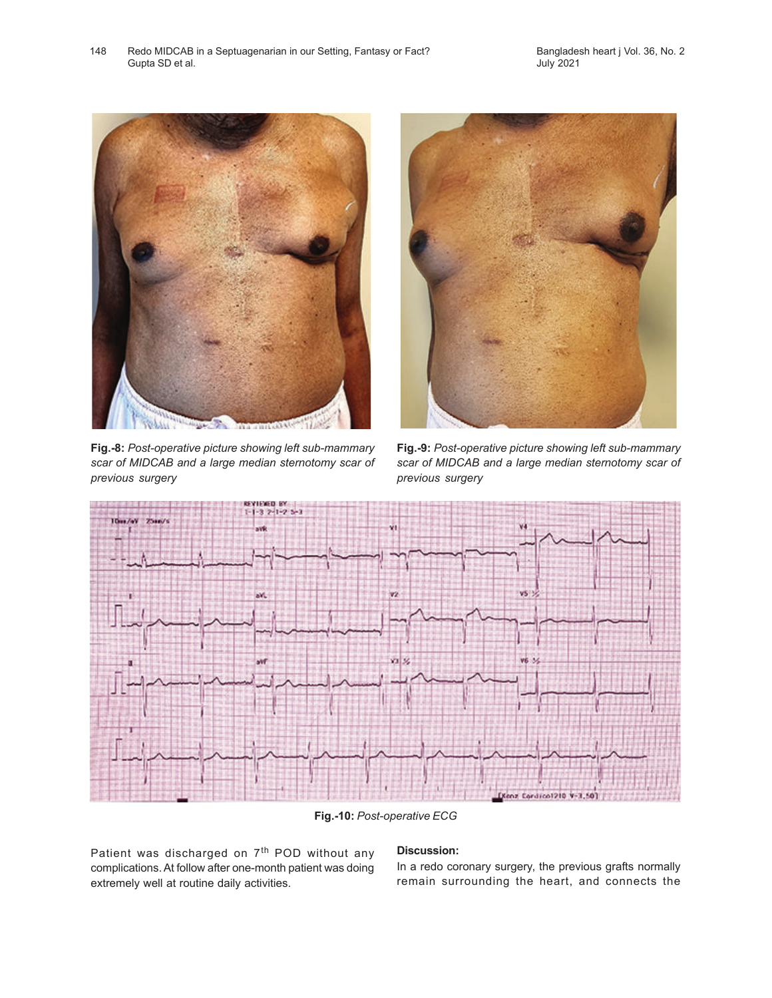

**Fig.-8:** *Post-operative picture showing left sub-mammary scar of MIDCAB and a large median sternotomy scar of previous surgery*



**Fig.-9:** *Post-operative picture showing left sub-mammary scar of MIDCAB and a large median sternotomy scar of previous surgery*



**Fig.-10:** *Post-operative ECG*

Patient was discharged on 7<sup>th</sup> POD without any complications. At follow after one-month patient was doing extremely well at routine daily activities.

# **Discussion:**

In a redo coronary surgery, the previous grafts normally remain surrounding the heart, and connects the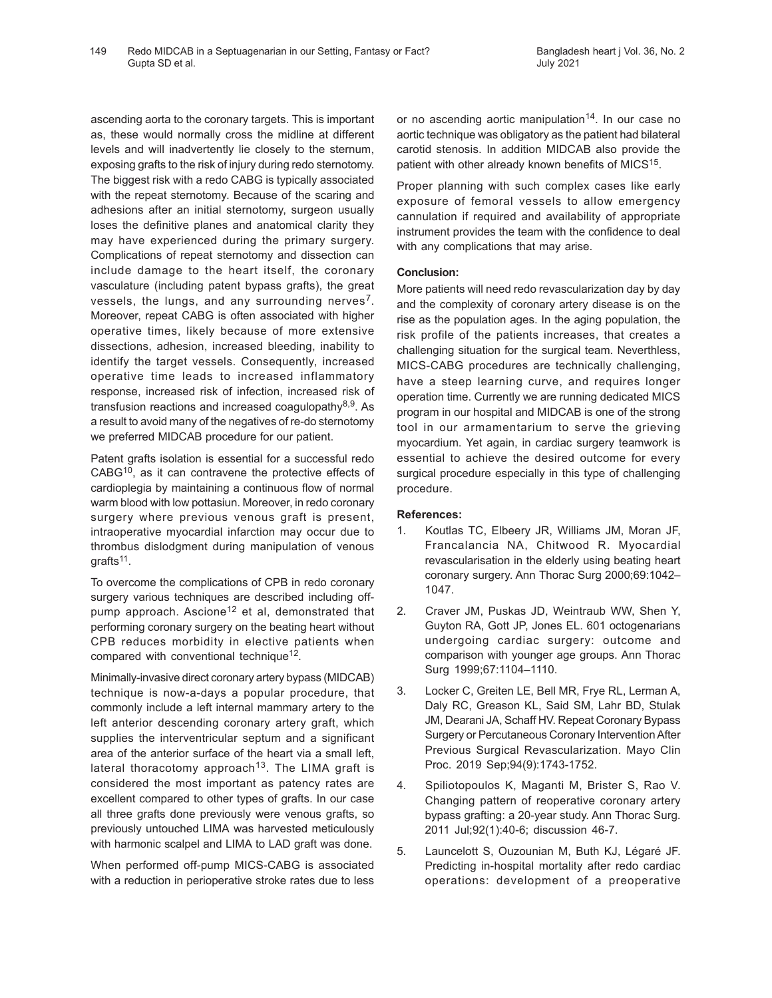ascending aorta to the coronary targets. This is important as, these would normally cross the midline at different levels and will inadvertently lie closely to the sternum, exposing grafts to the risk of injury during redo sternotomy. The biggest risk with a redo CABG is typically associated with the repeat sternotomy. Because of the scaring and adhesions after an initial sternotomy, surgeon usually loses the definitive planes and anatomical clarity they may have experienced during the primary surgery. Complications of repeat sternotomy and dissection can include damage to the heart itself, the coronary vasculature (including patent bypass grafts), the great vessels, the lungs, and any surrounding nerves<sup>7</sup>. Moreover, repeat CABG is often associated with higher operative times, likely because of more extensive dissections, adhesion, increased bleeding, inability to identify the target vessels. Consequently, increased operative time leads to increased inflammatory response, increased risk of infection, increased risk of transfusion reactions and increased coagulopathy<sup>8,9</sup>. As a result to avoid many of the negatives of re-do sternotomy we preferred MIDCAB procedure for our patient.

Patent grafts isolation is essential for a successful redo CABG10, as it can contravene the protective effects of cardioplegia by maintaining a continuous flow of normal warm blood with low pottasiun. Moreover, in redo coronary surgery where previous venous graft is present, intraoperative myocardial infarction may occur due to thrombus dislodgment during manipulation of venous grafts<sup>11</sup>.

To overcome the complications of CPB in redo coronary surgery various techniques are described including offpump approach. Ascione<sup>12</sup> et al, demonstrated that performing coronary surgery on the beating heart without CPB reduces morbidity in elective patients when compared with conventional technique<sup>12</sup>.

Minimally-invasive direct coronary artery bypass (MIDCAB) technique is now-a-days a popular procedure, that commonly include a left internal mammary artery to the left anterior descending coronary artery graft, which supplies the interventricular septum and a significant area of the anterior surface of the heart via a small left, lateral thoracotomy approach<sup>13</sup>. The LIMA graft is considered the most important as patency rates are excellent compared to other types of grafts. In our case all three grafts done previously were venous grafts, so previously untouched LIMA was harvested meticulously with harmonic scalpel and LIMA to LAD graft was done.

When performed off-pump MICS-CABG is associated with a reduction in perioperative stroke rates due to less

or no ascending aortic manipulation<sup>14</sup>. In our case no aortic technique was obligatory as the patient had bilateral carotid stenosis. In addition MIDCAB also provide the patient with other already known benefits of MICS<sup>15</sup>.

Proper planning with such complex cases like early exposure of femoral vessels to allow emergency cannulation if required and availability of appropriate instrument provides the team with the confidence to deal with any complications that may arise.

# **Conclusion:**

More patients will need redo revascularization day by day and the complexity of coronary artery disease is on the rise as the population ages. In the aging population, the risk profile of the patients increases, that creates a challenging situation for the surgical team. Neverthless, MICS-CABG procedures are technically challenging, have a steep learning curve, and requires longer operation time. Currently we are running dedicated MICS program in our hospital and MIDCAB is one of the strong tool in our armamentarium to serve the grieving myocardium. Yet again, in cardiac surgery teamwork is essential to achieve the desired outcome for every surgical procedure especially in this type of challenging procedure.

### **References:**

- 1. Koutlas TC, Elbeery JR, Williams JM, Moran JF, Francalancia NA, Chitwood R. Myocardial revascularisation in the elderly using beating heart coronary surgery. Ann Thorac Surg 2000;69:1042– 1047.
- 2. Craver JM, Puskas JD, Weintraub WW, Shen Y, Guyton RA, Gott JP, Jones EL. 601 octogenarians undergoing cardiac surgery: outcome and comparison with younger age groups. Ann Thorac Surg 1999;67:1104–1110.
- 3. Locker C, Greiten LE, Bell MR, Frye RL, Lerman A, Daly RC, Greason KL, Said SM, Lahr BD, Stulak JM, Dearani JA, Schaff HV. Repeat Coronary Bypass Surgery or Percutaneous Coronary Intervention After Previous Surgical Revascularization. Mayo Clin Proc. 2019 Sep;94(9):1743-1752.
- 4. Spiliotopoulos K, Maganti M, Brister S, Rao V. Changing pattern of reoperative coronary artery bypass grafting: a 20-year study. Ann Thorac Surg. 2011 Jul;92(1):40-6; discussion 46-7.
- 5. Launcelott S, Ouzounian M, Buth KJ, Légaré JF. Predicting in-hospital mortality after redo cardiac operations: development of a preoperative